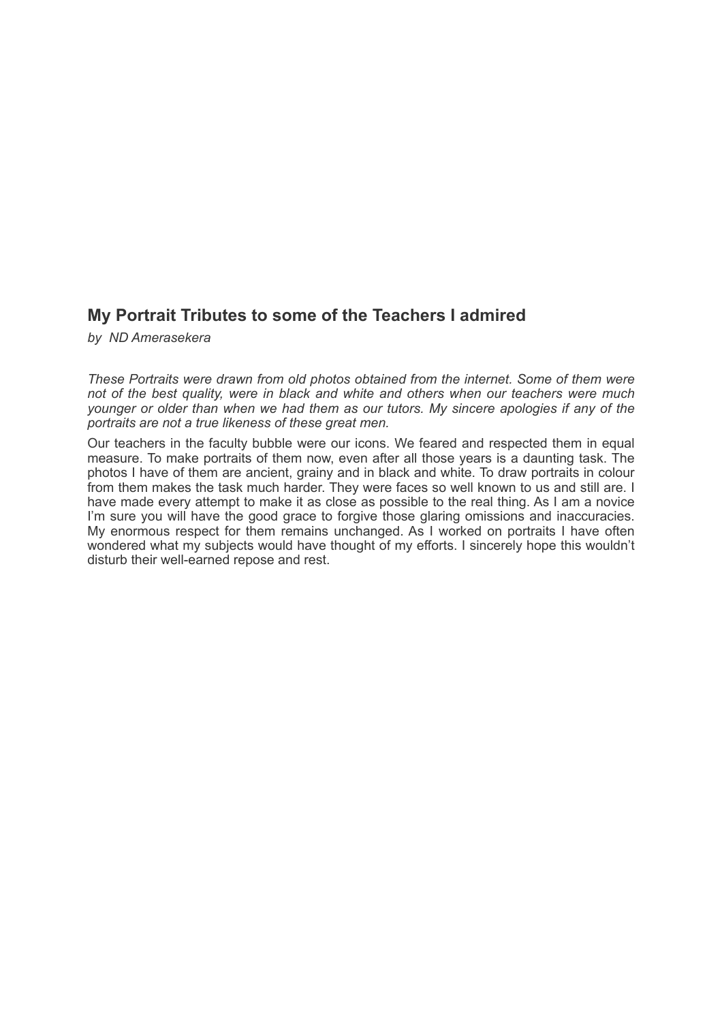# **My Portrait Tributes to some of the Teachers I admired**

*by ND Amerasekera*

*These Portraits were drawn from old photos obtained from the internet. Some of them were not of the best quality, were in black and white and others when our teachers were much younger or older than when we had them as our tutors. My sincere apologies if any of the portraits are not a true likeness of these great men.*

Our teachers in the faculty bubble were our icons. We feared and respected them in equal measure. To make portraits of them now, even after all those years is a daunting task. The photos I have of them are ancient, grainy and in black and white. To draw portraits in colour from them makes the task much harder. They were faces so well known to us and still are. I have made every attempt to make it as close as possible to the real thing. As I am a novice I'm sure you will have the good grace to forgive those glaring omissions and inaccuracies. My enormous respect for them remains unchanged. As I worked on portraits I have often wondered what my subjects would have thought of my efforts. I sincerely hope this wouldn't disturb their well-earned repose and rest.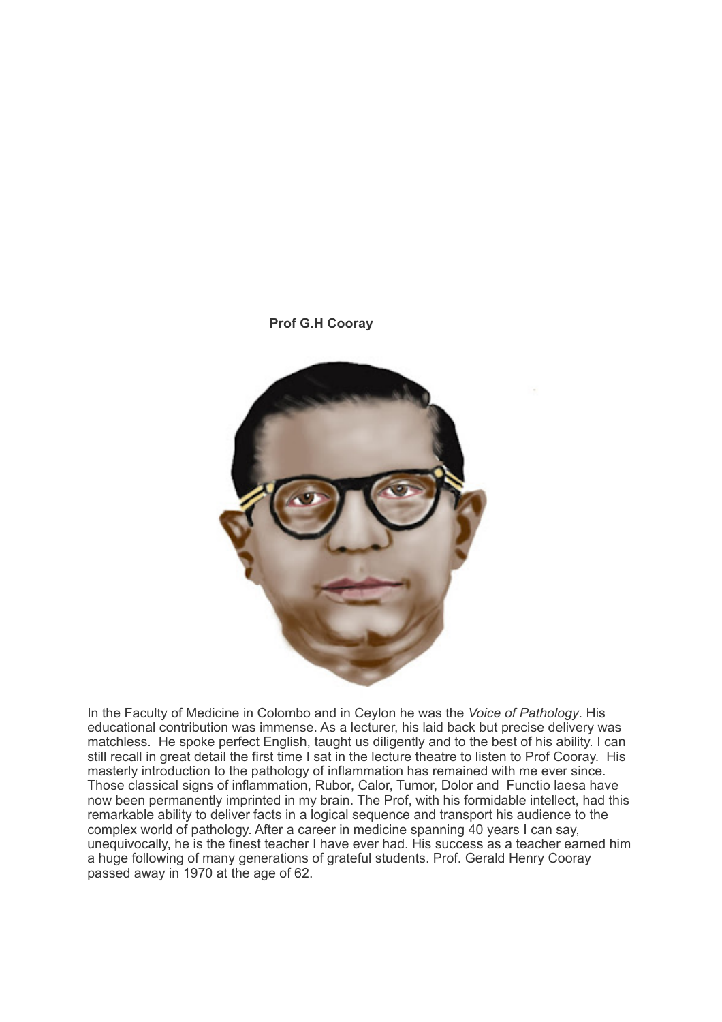

In the Faculty of Medicine in Colombo and in Ceylon he was the *Voice of Pathology*. His educational contribution was immense. As a lecturer, his laid back but precise delivery was matchless. He spoke perfect English, taught us diligently and to the best of his ability. I can still recall in great detail the first time I sat in the lecture theatre to listen to Prof Cooray. His masterly introduction to the pathology of inflammation has remained with me ever since. Those classical signs of inflammation, Rubor, Calor, Tumor, Dolor and Functio laesa have now been permanently imprinted in my brain. The Prof, with his formidable intellect, had this remarkable ability to deliver facts in a logical sequence and transport his audience to the complex world of pathology. After a career in medicine spanning 40 years I can say, unequivocally, he is the finest teacher I have ever had. His success as a teacher earned him a huge following of many generations of grateful students. Prof. Gerald Henry Cooray passed away in 1970 at the age of 62.

**Prof G.H Cooray**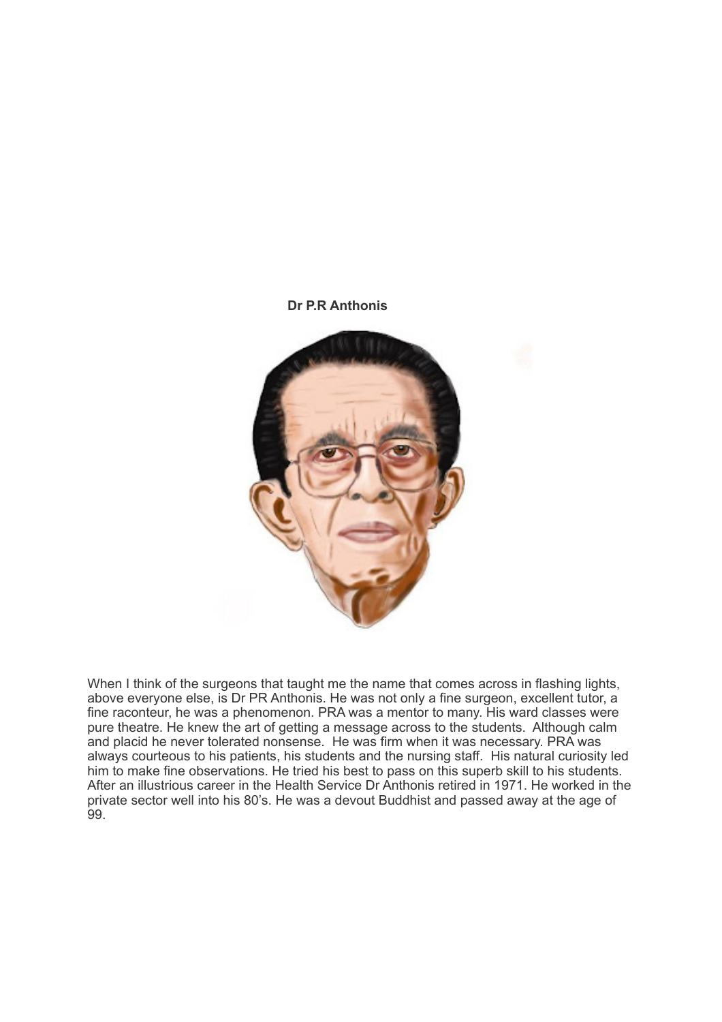#### **Dr P.R Anthonis**



When I think of the surgeons that taught me the name that comes across in flashing lights, above everyone else, is Dr PR Anthonis. He was not only a fine surgeon, excellent tutor, a fine raconteur, he was a phenomenon. PRA was a mentor to many. His ward classes were pure theatre. He knew the art of getting a message across to the students. Although calm and placid he never tolerated nonsense. He was firm when it was necessary. PRA was always courteous to his patients, his students and the nursing staff. His natural curiosity led him to make fine observations. He tried his best to pass on this superb skill to his students. After an illustrious career in the Health Service Dr Anthonis retired in 1971. He worked in the private sector well into his 80's. He was a devout Buddhist and passed away at the age of 99.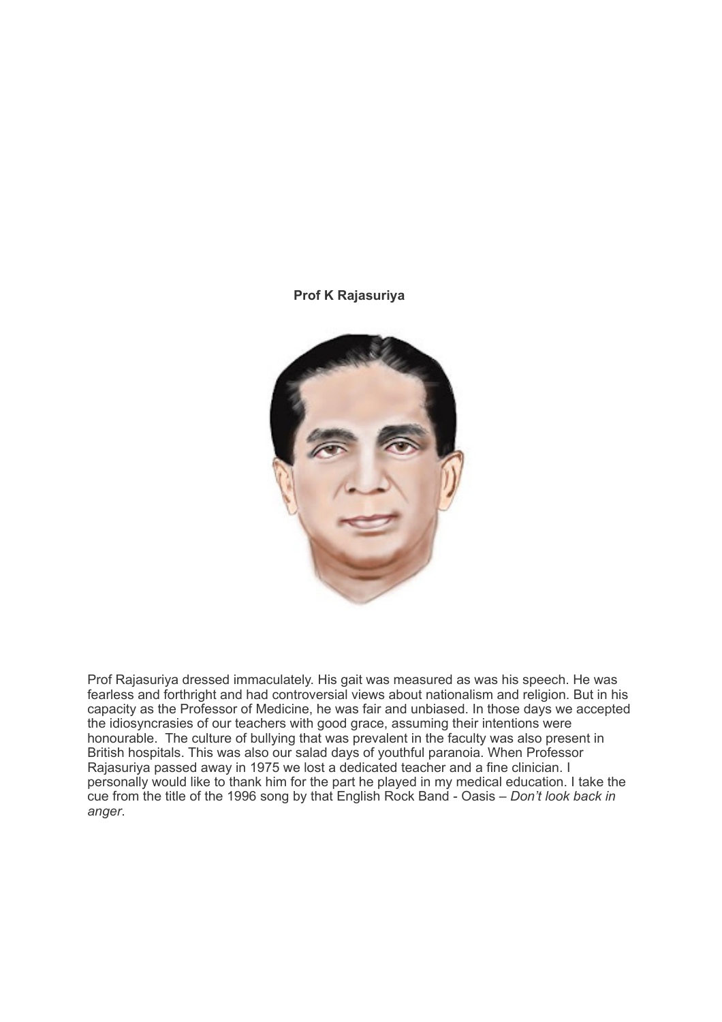#### **Prof K Rajasuriya**



Prof Rajasuriya dressed immaculately. His gait was measured as was his speech. He was fearless and forthright and had controversial views about nationalism and religion. But in his capacity as the Professor of Medicine, he was fair and unbiased. In those days we accepted the idiosyncrasies of our teachers with good grace, assuming their intentions were honourable. The culture of bullying that was prevalent in the faculty was also present in British hospitals. This was also our salad days of youthful paranoia. When Professor Rajasuriya passed away in 1975 we lost a dedicated teacher and a fine clinician. I personally would like to thank him for the part he played in my medical education. I take the cue from the title of the 1996 song by that English Rock Band - Oasis – *Don't look back in anger*.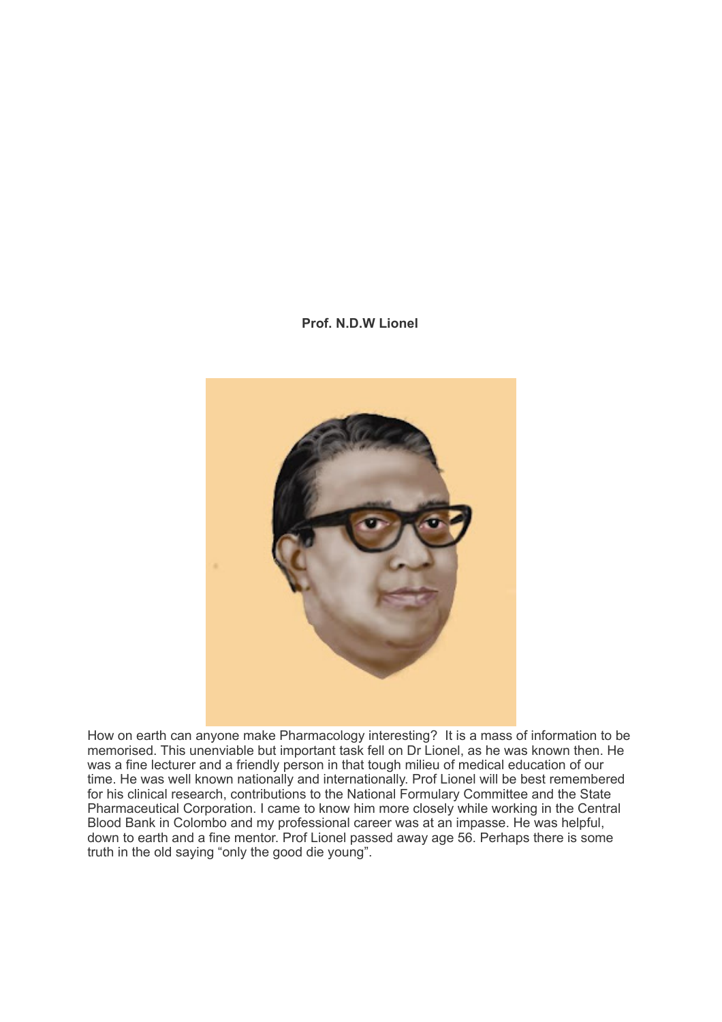# **Prof. N.D.W Lionel**



How on earth can anyone make Pharmacology interesting? It is a mass of information to be memorised. This unenviable but important task fell on Dr Lionel, as he was known then. He was a fine lecturer and a friendly person in that tough milieu of medical education of our time. He was well known nationally and internationally. Prof Lionel will be best remembered for his clinical research, contributions to the National Formulary Committee and the State Pharmaceutical Corporation. I came to know him more closely while working in the Central Blood Bank in Colombo and my professional career was at an impasse. He was helpful, down to earth and a fine mentor. Prof Lionel passed away age 56. Perhaps there is some truth in the old saying "only the good die young".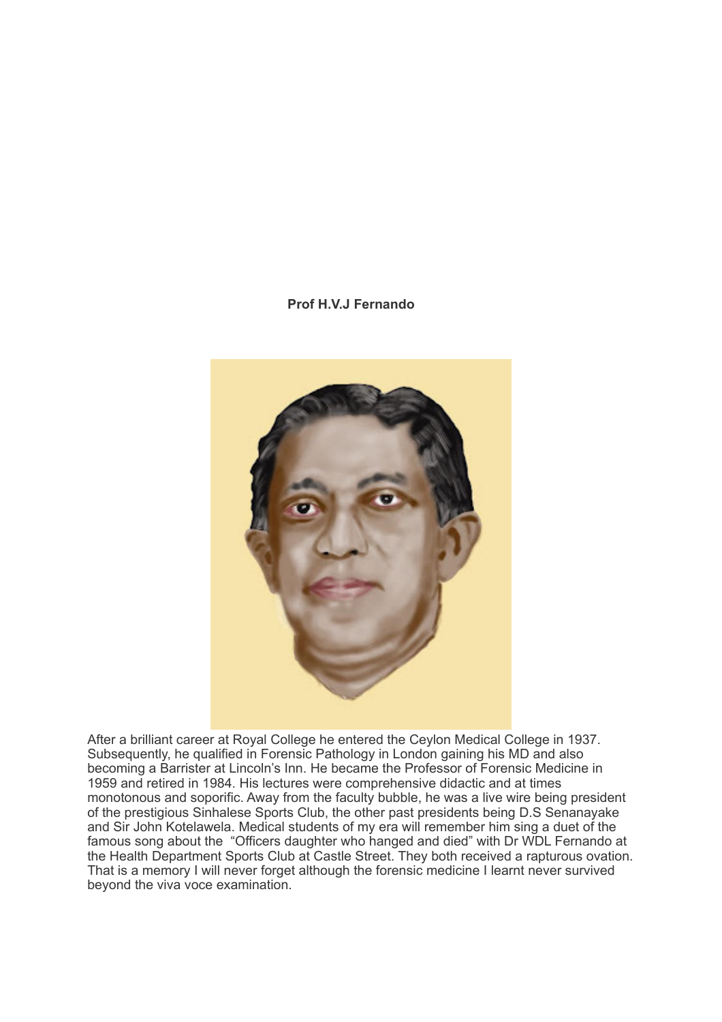## **Prof H.V.J Fernando**



After a brilliant career at Royal College he entered the Ceylon Medical College in 1937. Subsequently, he qualified in Forensic Pathology in London gaining his MD and also becoming a Barrister at Lincoln's Inn. He became the Professor of Forensic Medicine in 1959 and retired in 1984. His lectures were comprehensive didactic and at times monotonous and soporific. Away from the faculty bubble, he was a live wire being president of the prestigious Sinhalese Sports Club, the other past presidents being D.S Senanayake and Sir John Kotelawela. Medical students of my era will remember him sing a duet of the famous song about the "Officers daughter who hanged and died" with Dr WDL Fernando at the Health Department Sports Club at Castle Street. They both received a rapturous ovation. That is a memory I will never forget although the forensic medicine I learnt never survived beyond the viva voce examination.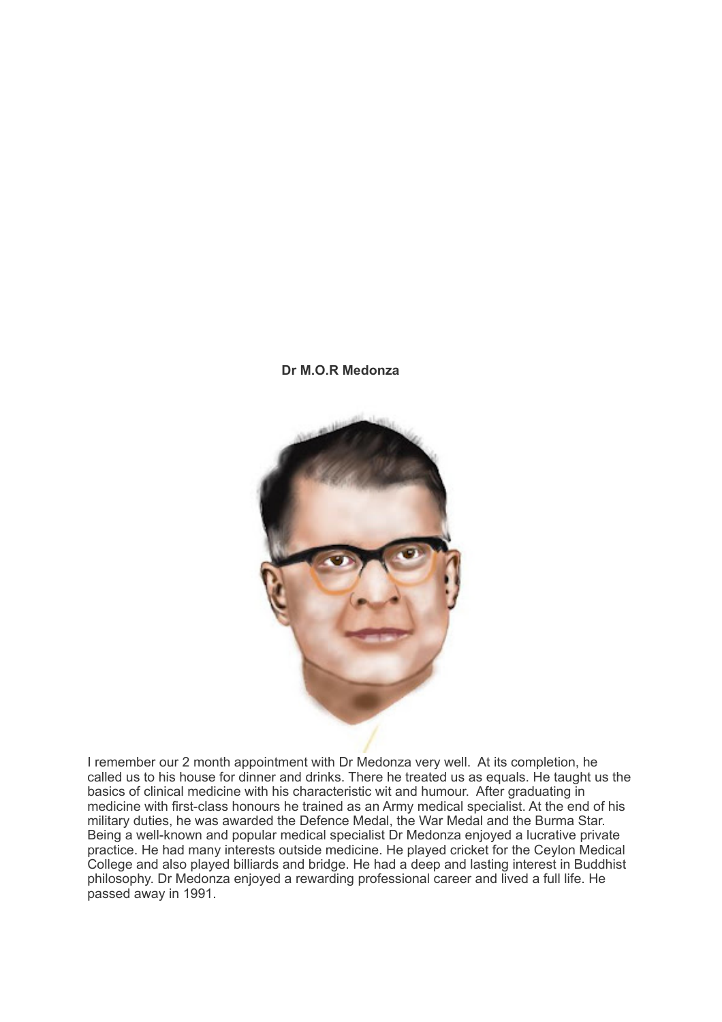# **Dr M.O.R Medonza**



I remember our 2 month appointment with Dr Medonza very well. At its completion, he called us to his house for dinner and drinks. There he treated us as equals. He taught us the basics of clinical medicine with his characteristic wit and humour. After graduating in medicine with first-class honours he trained as an Army medical specialist. At the end of his military duties, he was awarded the Defence Medal, the War Medal and the Burma Star. Being a well-known and popular medical specialist Dr Medonza enjoyed a lucrative private practice. He had many interests outside medicine. He played cricket for the Ceylon Medical College and also played billiards and bridge. He had a deep and lasting interest in Buddhist philosophy. Dr Medonza enjoyed a rewarding professional career and lived a full life. He passed away in 1991.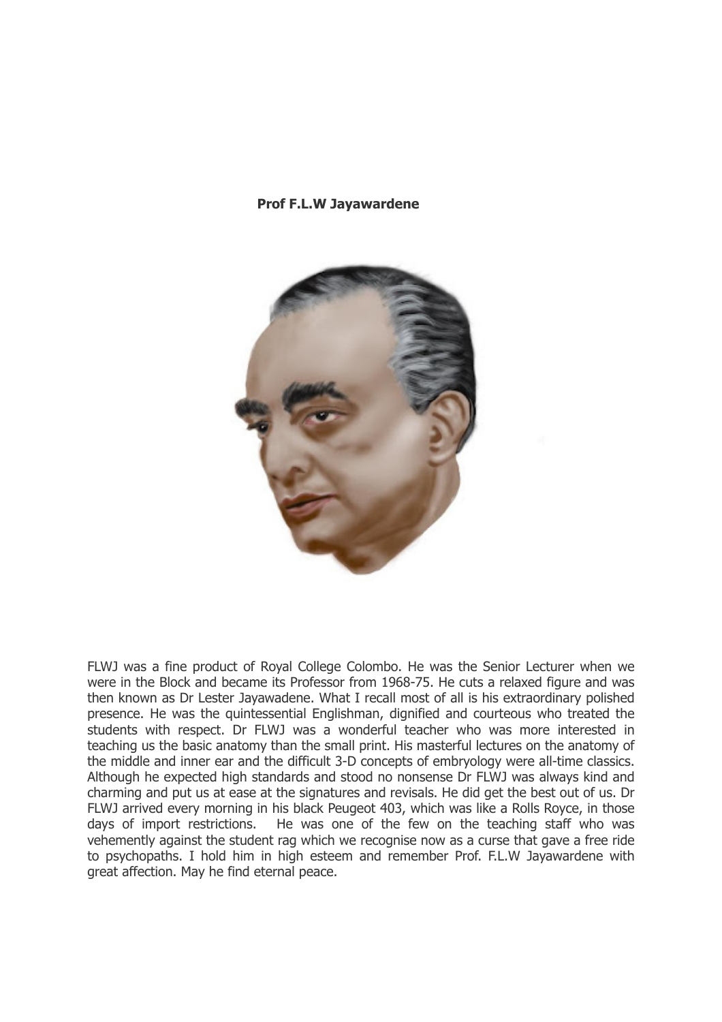#### **Prof F.L.W Jayawardene**



FLWJ was a fine product of Royal College Colombo. He was the Senior Lecturer when we were in the Block and became its Professor from 1968-75. He cuts a relaxed figure and was then known as Dr Lester Jayawadene. What I recall most of all is his extraordinary polished presence. He was the quintessential Englishman, dignified and courteous who treated the students with respect. Dr FLWJ was a wonderful teacher who was more interested in teaching us the basic anatomy than the small print. His masterful lectures on the anatomy of the middle and inner ear and the difficult 3-D concepts of embryology were all-time classics. Although he expected high standards and stood no nonsense Dr FLWJ was always kind and charming and put us at ease at the signatures and revisals. He did get the best out of us. Dr FLWJ arrived every morning in his black Peugeot 403, which was like a Rolls Royce, in those days of import restrictions. He was one of the few on the teaching staff who was vehemently against the student rag which we recognise now as a curse that gave a free ride to psychopaths. I hold him in high esteem and remember Prof. F.L.W Jayawardene with great affection. May he find eternal peace.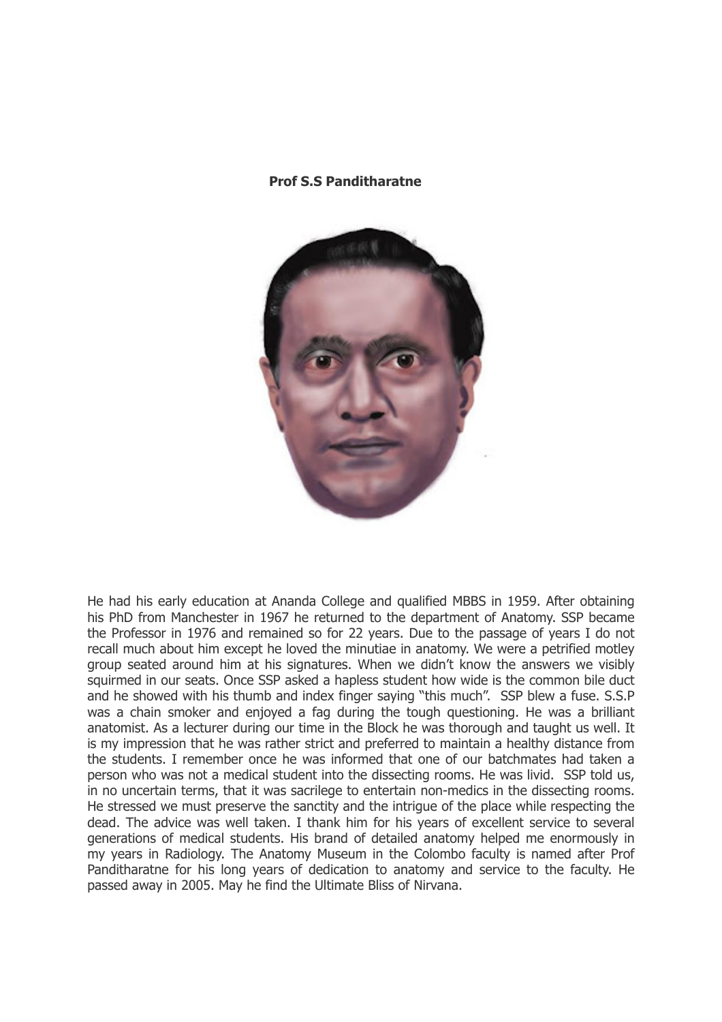#### **Prof S.S Panditharatne**



He had his early education at Ananda College and qualified MBBS in 1959. After obtaining his PhD from Manchester in 1967 he returned to the department of Anatomy. SSP became the Professor in 1976 and remained so for 22 years. Due to the passage of years I do not recall much about him except he loved the minutiae in anatomy. We were a petrified motley group seated around him at his signatures. When we didn't know the answers we visibly squirmed in our seats. Once SSP asked a hapless student how wide is the common bile duct and he showed with his thumb and index finger saying "this much". SSP blew a fuse. S.S.P was a chain smoker and enjoyed a fag during the tough questioning. He was a brilliant anatomist. As a lecturer during our time in the Block he was thorough and taught us well. It is my impression that he was rather strict and preferred to maintain a healthy distance from the students. I remember once he was informed that one of our batchmates had taken a person who was not a medical student into the dissecting rooms. He was livid. SSP told us, in no uncertain terms, that it was sacrilege to entertain non-medics in the dissecting rooms. He stressed we must preserve the sanctity and the intrigue of the place while respecting the dead. The advice was well taken. I thank him for his years of excellent service to several generations of medical students. His brand of detailed anatomy helped me enormously in my years in Radiology. The Anatomy Museum in the Colombo faculty is named after Prof Panditharatne for his long years of dedication to anatomy and service to the faculty. He passed away in 2005. May he find the Ultimate Bliss of Nirvana.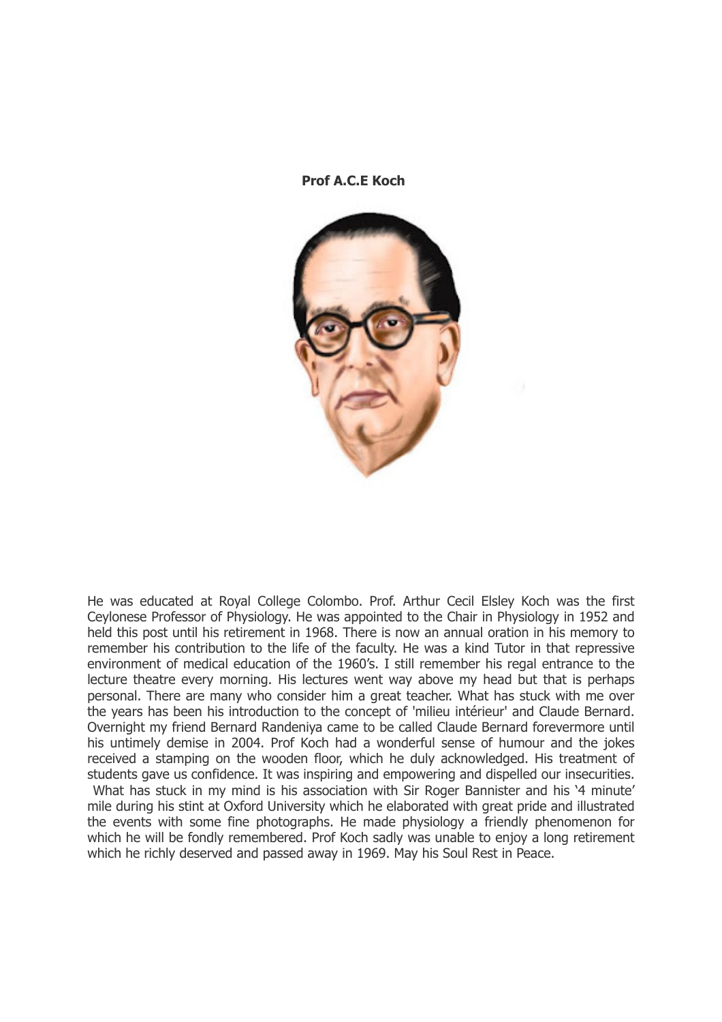**Prof A.C.E Koch**



He was educated at Royal College Colombo. Prof. Arthur Cecil Elsley Koch was the first Ceylonese Professor of Physiology. He was appointed to the Chair in Physiology in 1952 and held this post until his retirement in 1968. There is now an annual oration in his memory to remember his contribution to the life of the faculty. He was a kind Tutor in that repressive environment of medical education of the 1960's. I still remember his regal entrance to the lecture theatre every morning. His lectures went way above my head but that is perhaps personal. There are many who consider him a great teacher. What has stuck with me over the years has been his introduction to the concept of 'milieu intérieur' and Claude Bernard. Overnight my friend Bernard Randeniya came to be called Claude Bernard forevermore until his untimely demise in 2004. Prof Koch had a wonderful sense of humour and the jokes received a stamping on the wooden floor, which he duly acknowledged. His treatment of students gave us confidence. It was inspiring and empowering and dispelled our insecurities. What has stuck in my mind is his association with Sir Roger Bannister and his '4 minute' mile during his stint at Oxford University which he elaborated with great pride and illustrated the events with some fine photographs. He made physiology a friendly phenomenon for which he will be fondly remembered. Prof Koch sadly was unable to enjoy a long retirement which he richly deserved and passed away in 1969. May his Soul Rest in Peace.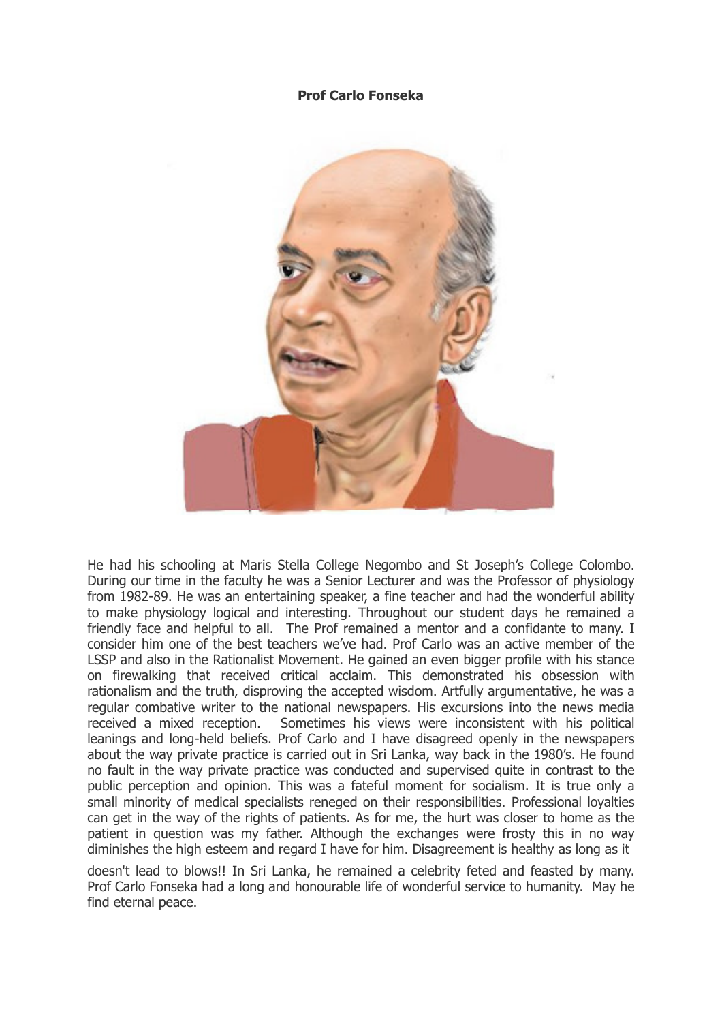## **Prof Carlo Fonseka**



He had his schooling at Maris Stella College Negombo and St Joseph's College Colombo. During our time in the faculty he was a Senior Lecturer and was the Professor of physiology from 1982-89. He was an entertaining speaker, a fine teacher and had the wonderful ability to make physiology logical and interesting. Throughout our student days he remained a friendly face and helpful to all. The Prof remained a mentor and a confidante to many. I consider him one of the best teachers we've had. Prof Carlo was an active member of the LSSP and also in the Rationalist Movement. He gained an even bigger profile with his stance on firewalking that received critical acclaim. This demonstrated his obsession with rationalism and the truth, disproving the accepted wisdom. Artfully argumentative, he was a regular combative writer to the national newspapers. His excursions into the news media received a mixed reception. Sometimes his views were inconsistent with his political leanings and long-held beliefs. Prof Carlo and I have disagreed openly in the newspapers about the way private practice is carried out in Sri Lanka, way back in the 1980's. He found no fault in the way private practice was conducted and supervised quite in contrast to the public perception and opinion. This was a fateful moment for socialism. It is true only a small minority of medical specialists reneged on their responsibilities. Professional loyalties can get in the way of the rights of patients. As for me, the hurt was closer to home as the patient in question was my father. Although the exchanges were frosty this in no way diminishes the high esteem and regard I have for him. Disagreement is healthy as long as it

doesn't lead to blows!! In Sri Lanka, he remained a celebrity feted and feasted by many. Prof Carlo Fonseka had a long and honourable life of wonderful service to humanity. May he find eternal peace.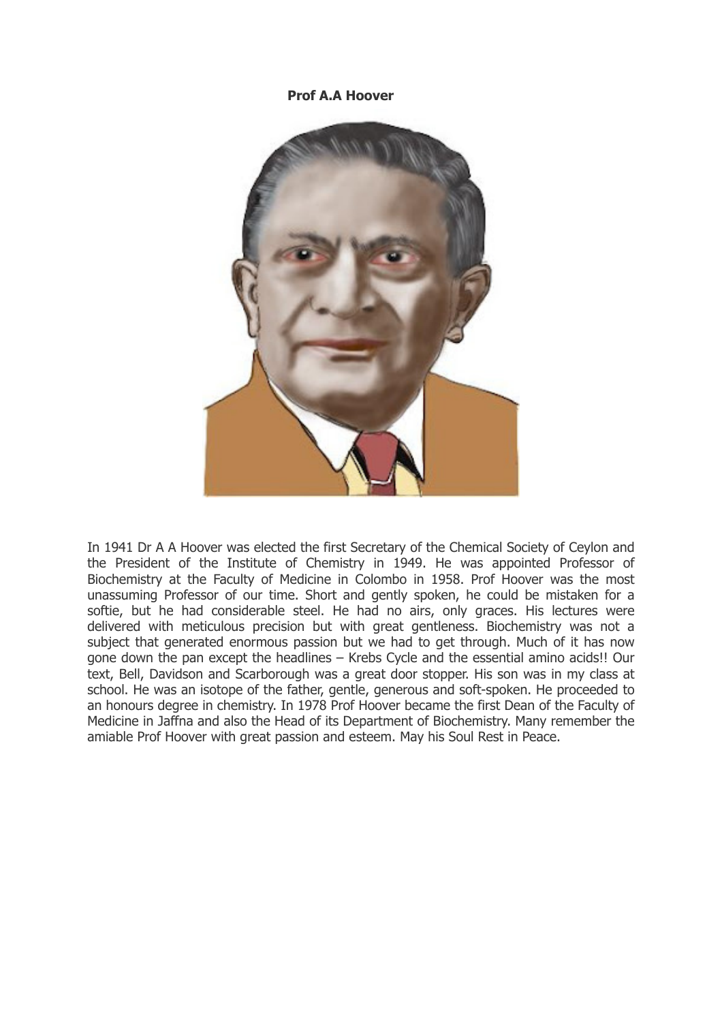## **Prof A.A Hoover**



In 1941 Dr A A Hoover was elected the first Secretary of the Chemical Society of Ceylon and the President of the Institute of Chemistry in 1949. He was appointed Professor of Biochemistry at the Faculty of Medicine in Colombo in 1958. Prof Hoover was the most unassuming Professor of our time. Short and gently spoken, he could be mistaken for a softie, but he had considerable steel. He had no airs, only graces. His lectures were delivered with meticulous precision but with great gentleness. Biochemistry was not a subject that generated enormous passion but we had to get through. Much of it has now gone down the pan except the headlines – Krebs Cycle and the essential amino acids!! Our text, Bell, Davidson and Scarborough was a great door stopper. His son was in my class at school. He was an isotope of the father, gentle, generous and soft-spoken. He proceeded to an honours degree in chemistry. In 1978 Prof Hoover became the first Dean of the Faculty of Medicine in Jaffna and also the Head of its Department of Biochemistry. Many remember the amiable Prof Hoover with great passion and esteem. May his Soul Rest in Peace.